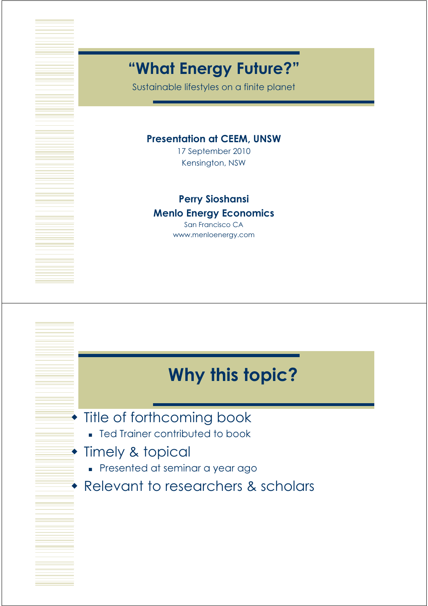### "What Energy Future?"

Sustainable lifestyles on a finite planet

#### Presentation at CEEM, UNSW

17 September 2010 Kensington, NSW

#### Perry Sioshansi

#### Menlo Energy Economics

San Francisco CA www.menloenergy.com

## Why this topic?

#### **Title of forthcoming book**

**Fed Trainer contributed to book** 

#### **Timely & topical**

- Presented at seminar a year ago
- Relevant to researchers & scholars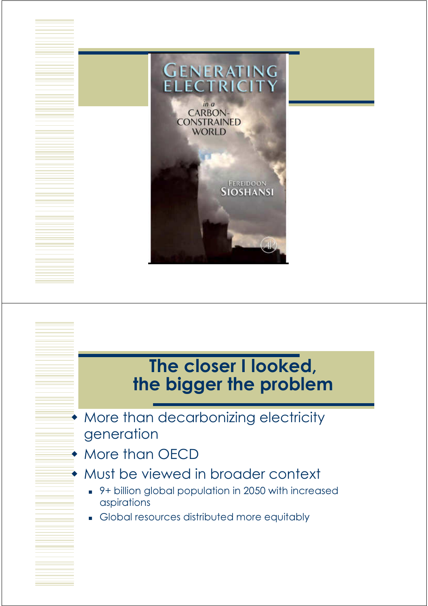

# The closer I looked, the bigger the problem

- **More than decarbonizing electricity** generation
- More than OECD
- Must be viewed in broader context
	- 9+ billion global population in 2050 with increased aspirations
	- Global resources distributed more equitably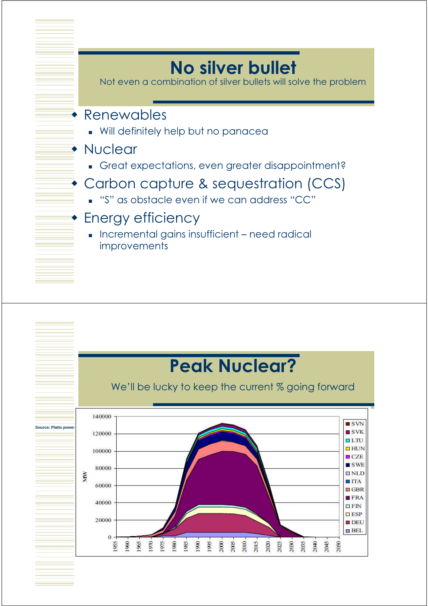# No silver bullet

Not even a combination of silver bullets will solve the problem

#### Renewables

Will definitely help but no panacea

#### **• Nuclear**

Great expectations, even greater disappointment?

### Carbon capture & sequestration (CCS)

"S" as obstacle even if we can address "CC"

#### Energy efficiency

**Incremental gains insufficient – need radical improvements** 

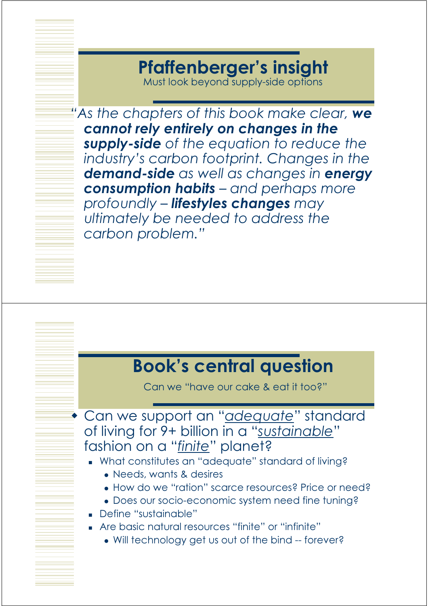# Pfaffenberger's insight

Must look beyond supply-side options

"As the chapters of this book make clear, we cannot rely entirely on changes in the supply-side of the equation to reduce the industry's carbon footprint. Changes in the demand-side as well as changes in energy consumption habits - and perhaps more profoundly – lifestyles changes may ultimately be needed to address the carbon problem."

### Book's central question

Can we "have our cake & eat it too?"

Can we support an "*adequate*" standard of living for 9+ billion in a "sustainable" fashion on a "finite" planet?

- What constitutes an "adequate" standard of living?
	- Needs, wants & desires
	- How do we "ration" scarce resources? Price or need?
	- Does our socio-economic system need fine tuning?
- Define "sustainable"
- Are basic natural resources "finite" or "infinite"
	- Will technology get us out of the bind -- forever?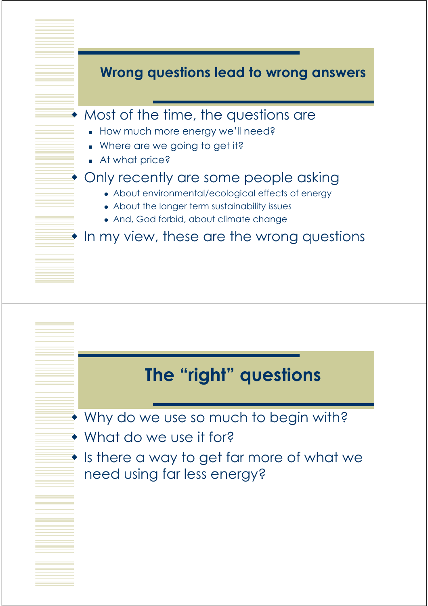

## The "right" questions

- Why do we use so much to begin with?
- What do we use it for?
- $\bullet$  Is there a way to get far more of what we need using far less energy?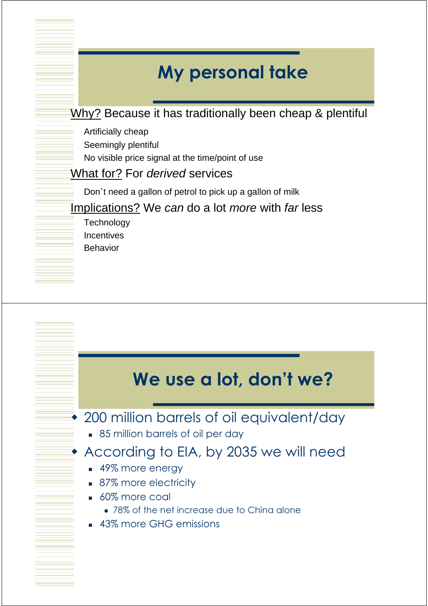# My personal take

Why? Because it has traditionally been cheap & plentiful

- Artificially cheap
- Seemingly plentiful
- No visible price signal at the time/point of use
- What for? For derived services
	- Don't need a gallon of petrol to pick up a gallon of milk
- Implications? We can do a lot more with far less
	- **Technology Incentives** Behavior

## We use a lot, don't we?

#### 200 million barrels of oil equivalent/day

**85 million barrels of oil per day** 

#### According to EIA, by 2035 we will need

- 49% more energy
- 87% more electricity
- 60% more coal
	- 78% of the net increase due to China alone
- 43% more GHG emissions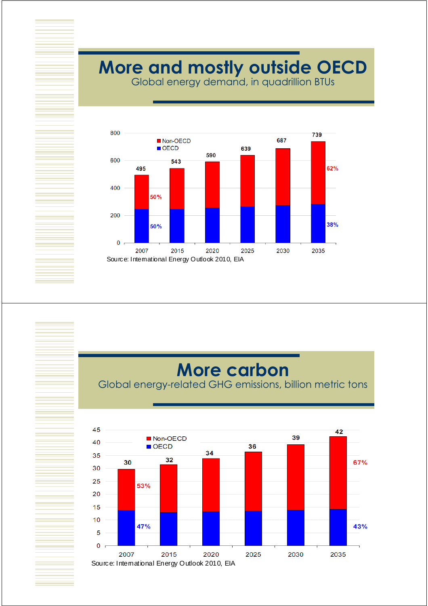# More and mostly outside OECD

Global energy demand, in quadrillion BTUs



## More carbon

Global energy-related GHG emissions, billion metric tons

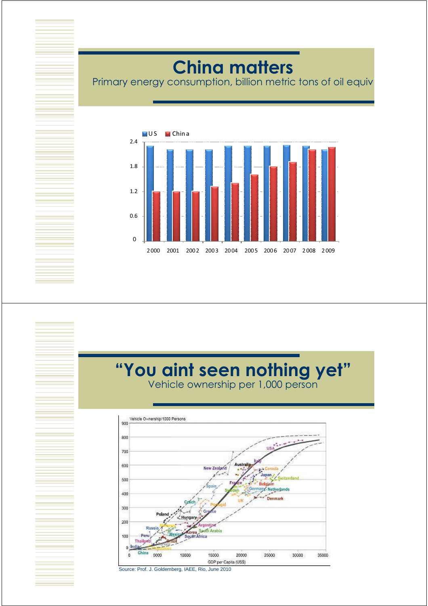# **China matters**

Primary energy consumption, billion metric tons of oil equiv



#### "You aint seen nothing yet" Vehicle ownership per 1,000 person Vehicle Ownership/1000 Persons  $900$ 800 700 600 500 Netherlands 400 Denmark 300 200 di Arabia 100 *<u><u>Address</u>***</u>** 5000 10000 15000 20000 25000 30000 35000 GDP per Capita (US\$)

Source: Prof. J. Goldemberg, IAEE, Rio, June 2010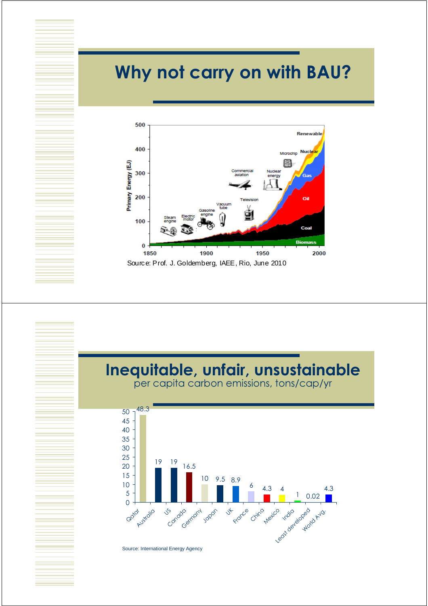# Why not carry on with BAU?



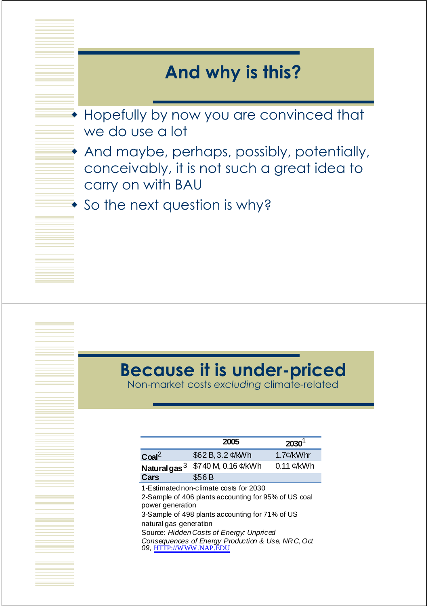## And why is this?

- **Hopefully by now you are convinced that** we do use a lot
- And maybe, perhaps, possibly, potentially, conceivably, it is not such a great idea to carry on with BAU
- **So the next question is why?**

## Because it is under-priced

Non-market costs excluding climate-related

|                                                                      | 2005                                                                                                                                                                                                                                               | 2030                      |
|----------------------------------------------------------------------|----------------------------------------------------------------------------------------------------------------------------------------------------------------------------------------------------------------------------------------------------|---------------------------|
| Coal <sup>2</sup>                                                    | \$62 B, 3.2 ¢/kWh                                                                                                                                                                                                                                  | $1.7$ ¢/kWhr              |
| Natural gas $^3$                                                     | \$740 M, 0.16 ¢/kWh                                                                                                                                                                                                                                | $0.11 \, \mathcal{C}/kWh$ |
| Cars                                                                 | \$56B                                                                                                                                                                                                                                              |                           |
| power generation<br>natural gas generation<br>09, HTTP://WWW.NAP.EDU | 1-Estimated non-climate costs for 2030<br>2-Sample of 406 plants accounting for 95% of US coal<br>3-Sample of 498 plants accounting for 71% of US<br>Source: Hidden Costs of Energy: Unpriced<br>Consequences of Energy Production & Use, NRC, Oct |                           |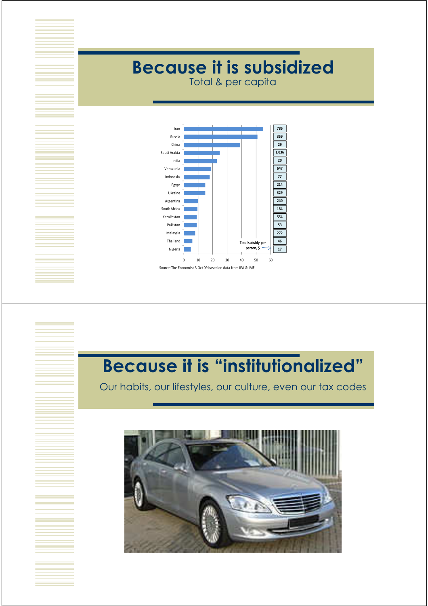# Because it is subsidized

Total & per capita



# Because it is "institutionalized"

Our habits, our lifestyles, our culture, even our tax codes

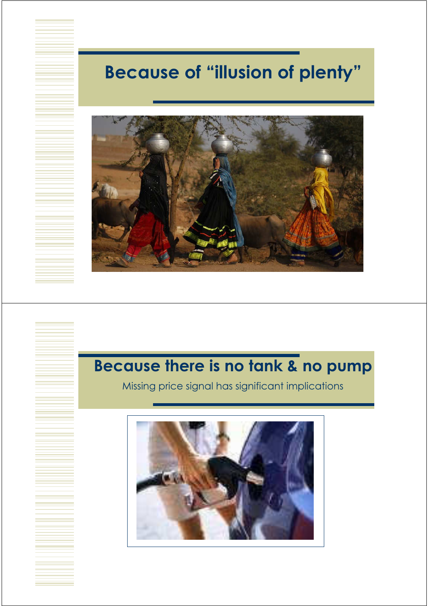# Because of "illusion of plenty"



### Because there is no tank & no pump

Missing price signal has significant implications

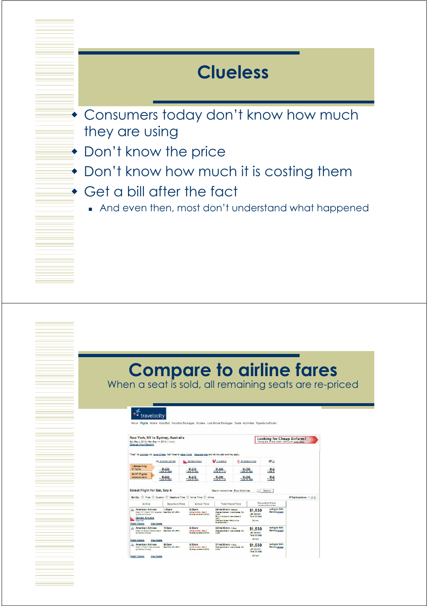## Clueless

- **Consumers today don't know how much** they are using
- Don't know the price
- **Don't know how much it is costing them**
- Get a bill after the fact
	- And even then, most don't understand what happened

## Compare to airline fares

When a seat is sold, all remaining seats are re-priced

#### \*\* travelocity

| Sat. Sep 4, 2010 - Sat. Sep 11, 2010 / 1 Adult<br><b>Change Your Search</b>                               | New York, NY to Sydney, Australia                               |                                                                                                                      |                                                                                                                                                            |                          |                                                         | <b>Looking for Cheap Airfares?</b><br>Compare more sites with just one dick |                             |
|-----------------------------------------------------------------------------------------------------------|-----------------------------------------------------------------|----------------------------------------------------------------------------------------------------------------------|------------------------------------------------------------------------------------------------------------------------------------------------------------|--------------------------|---------------------------------------------------------|-----------------------------------------------------------------------------|-----------------------------|
|                                                                                                           |                                                                 | "Total" for e-tickets incl. taxes & fees. Add't fees for paper ticket. Bacquage fees are not included and may apply. |                                                                                                                                                            |                          |                                                         |                                                                             |                             |
|                                                                                                           | a's American Asings                                             | Contes Airways                                                                                                       | <b>My Australia</b>                                                                                                                                        |                          | Emertes Airlines                                        | <b>IN</b>                                                                   |                             |
| 1-Stops Only<br>67 North                                                                                  | \$1,530<br>Total S1.688                                         | 51.373<br>Total \$1.691                                                                                              | \$1,454                                                                                                                                                    | \$1,790                  |                                                         | T                                                                           |                             |
| All 87 Flights<br>displayed below                                                                         | \$1,530<br>Total \$1,680                                        | \$1,373<br>Total \$1,691                                                                                             | \$1,454                                                                                                                                                    | \$1,790<br>Total \$1.934 |                                                         | $T$ otal St                                                                 |                             |
| Airline                                                                                                   | <b>Departure Time</b>                                           | Sort By: ( ) Price C Duration C Departure Time C Arrival Time C Atline<br><b>Arrival Time</b>                        | <b>Total Travel Time</b>                                                                                                                                   |                          |                                                         | Roundtrip Price<br>bettings to you and fees.                                | 67 fight options: 1   2   3 |
| <b>American Airlines</b><br>AX.<br>by Garriso Almines<br><b>Qantas Airways</b><br>P.<br><b>Right 4:52</b> | $1:55$ pm<br>Right 117 / Paper 7337 powerted NewYork, NY (J-K). | $6:25$ pm<br>Antique din Marc., Saint-R.<br>System, Australia (SYO)                                                  | 38hrs 30min - seecal<br>Change glanes a Loa Angeles, CA<br>$a \times b$<br><b>Book Auditors New Zealand</b><br><b>CARD 1</b><br>Change glasse a Malbourne. |                          | \$1,530<br>ger person<br>Total \$1,680<br><b>Salact</b> | h-Flight WiFi<br>Service more                                               |                             |
| <b>Flight Details</b>                                                                                     | <b>View Seats</b>                                               |                                                                                                                      | Australia (MEL)                                                                                                                                            |                          |                                                         |                                                                             |                             |
| <b>American Airlines</b><br>A <sup>3</sup> K<br><b>Right 33 Might T354 comment</b><br>by Garrise Alexand  | 7:45am<br><b>New York, NY LEWS</b>                              | <b>RI30am</b><br>Antive on Man. Sec. 6.<br>System, Australia (SYD)                                                   | 32hrs 45min - Library<br>Orange planes in Los Angeles, CA<br><b>GLAX</b>                                                                                   |                          | \$1,530<br>ger person<br>Total \$1,666                  | h-Flight WiFi<br>Service more                                               |                             |
| <b>Flight Details</b>                                                                                     | <b>View Seats</b>                                               |                                                                                                                      |                                                                                                                                                            |                          | Salart.                                                 |                                                                             |                             |
| American Airlines<br>A'n<br>Right 1/ Plant 7:354 coarsted<br>by Garden Airways                            | 900am<br>New York, NY (JPK)                                     | 6:30am<br>Antive on Man. Sec. 6.<br>Sydney, Australia (SYD)                                                          | 31hrs 30min - Later<br>Changeplanesin Los Angeles, CA<br>0.830                                                                                             |                          | \$1.530<br>der berson<br>Total \$1,666                  | h-Flight WiFi<br>Service more                                               |                             |
| <b>Flight Details</b>                                                                                     | <b>View Seats</b>                                               |                                                                                                                      |                                                                                                                                                            |                          | <b>Salect</b>                                           |                                                                             |                             |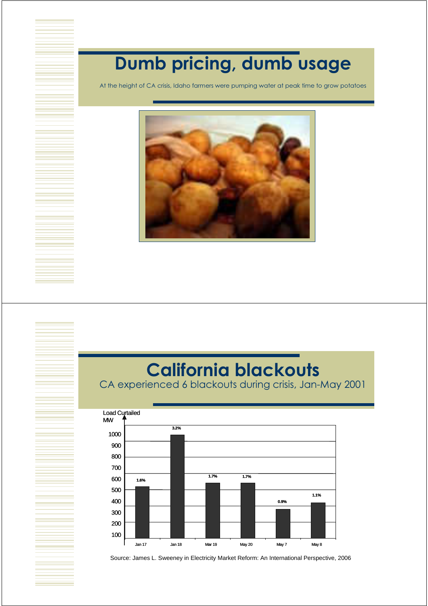# Dumb pricing, dumb usage

At the height of CA crisis, Idaho farmers were pumping water at peak time to grow potatoes



# California blackouts

CA experienced 6 blackouts during crisis, Jan-May 2001



Source: James L. Sweeney in Electricity Market Reform: An International Perspective, 2006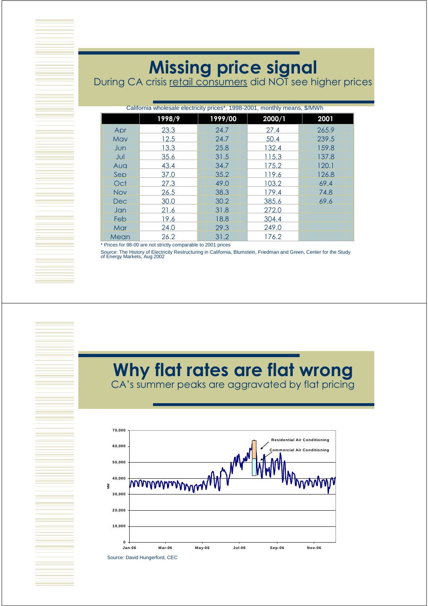## Missing price signal

During CA crisis <u>retail consumers</u> did NOT see higher prices

| California wholesale electricity prices*, 1998-2001, monthly means, \$/MWh |        |  |         |        |       |
|----------------------------------------------------------------------------|--------|--|---------|--------|-------|
|                                                                            | 1998/9 |  | 1999/00 | 2000/1 | 2001  |
| Apr                                                                        | 23.3   |  | 24.7    | 27.4   | 265.9 |
| May                                                                        | 12.5   |  | 24.7    | 50.4   | 239.5 |
| Jun                                                                        | 13.3   |  | 25.8    | 132.4  | 159.8 |
| Jul                                                                        | 35.6   |  | 31.5    | 115.3  | 137.8 |
| Aua                                                                        | 43.4   |  | 34.7    | 175.2  | 120.1 |
| Sep                                                                        | 37.0   |  | 35.2    | 119.6  | 126.8 |
| Oct                                                                        | 27.3   |  | 49.0    | 103.2  | 69.4  |
| <b>Nov</b>                                                                 | 26.5   |  | 38.3    | 179.4  | 74.8  |
| Dec.                                                                       | 30.0   |  | 30.2    | 385.6  | 69.6  |
| Jan                                                                        | 21.6   |  | 31.8    | 272.0  |       |
| Feb                                                                        | 19.6   |  | 18.8    | 304.4  |       |
| Mar                                                                        | 24.0   |  | 29.3    | 249.0  |       |
| Mean                                                                       | 26.2   |  | 31.2    | 176.2  |       |

\* Prices for 98-00 are not strictly comparable to 2001 prices

Source: The History of Electricity Restructuring in California, Blumstein, Friedman and Green, Center for the Study of Energy Markets, Aug 2002

#### Why flat rates are flat wrong CA's summer peaks are aggravated by flat pricing



Source: David Hungerford, CEC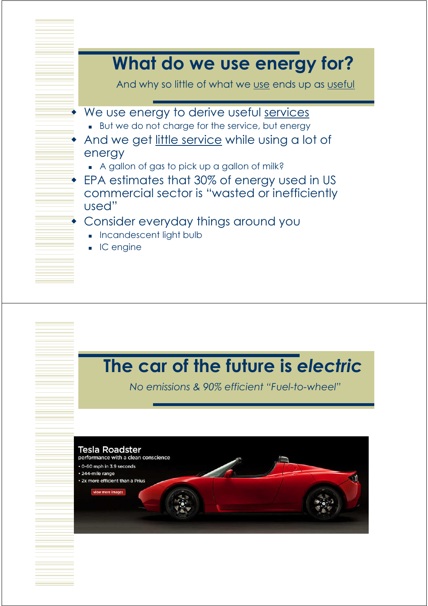### What do we use energy for? And why so little of what we use ends up as useful • We use energy to derive useful services But we do not charge for the service, but energy And we get little service while using a lot of energy A gallon of gas to pick up a gallon of milk? ◆ EPA estimates that 30% of energy used in US commercial sector is "wasted or inefficiently used" Consider everyday things around you **Incandescent light bulb**  $IC$  engine

## The car of the future is electric

No emissions & 90% efficient "Fuel-to-wheel"

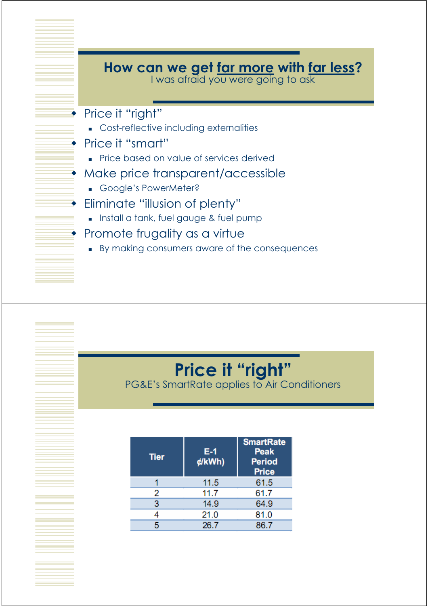

#### Price it "right" PG&E's SmartRate applies to Air Conditioners

| <b>Tier</b> | E-1<br>¢/kWh) | <b>SmartRate</b><br>Peak<br><b>Period</b><br><b>Price</b> |
|-------------|---------------|-----------------------------------------------------------|
|             | 11.5          | 61.5                                                      |
| 2           | 11.7          | 61.7                                                      |
| 3           | 14.9          | 64.9                                                      |
|             | 21.0          | 81.0                                                      |
| 5           | 26.7          | 86.7                                                      |
|             |               |                                                           |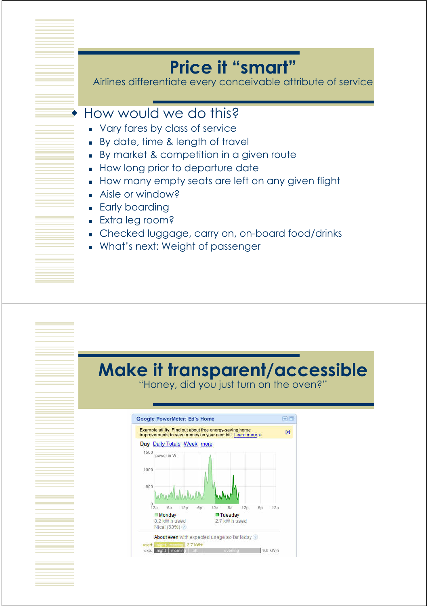# Price it "smart"

Airlines differentiate every conceivable attribute of service

#### ◆ How would we do this?

- **Vary fares by class of service**
- By date, time & length of travel
- By market & competition in a given route
- How long prior to departure date
- How many empty seats are left on any given flight
- Aisle or window?
- **Early boarding**
- **Extra leg room?**
- Checked luggage, carry on, on-board food/drinks
- What's next: Weight of passenger

#### Make it transparent/accessible "Honey, did you just turn on the oven?"

GË **Google PowerMeter: Ed's Home** Example utility: Find out about free energy-saving home<br>improvements to save money on your next bill. Learn more  $\mathbb{R}$ Day Daily Totals Week more 1500 nower in W 1000  $500$  $^{0}_{12a}$  $12n$  $128$ 6a 6h  $12a$ 6a 6h **Monday E**Tuesday 8.2 kW-h used 2.7 kW h used Nice! (63%) 2 About even with expected usage so far today  $2.7$  kW-h usad 9.5 kW-h exo.: night | momin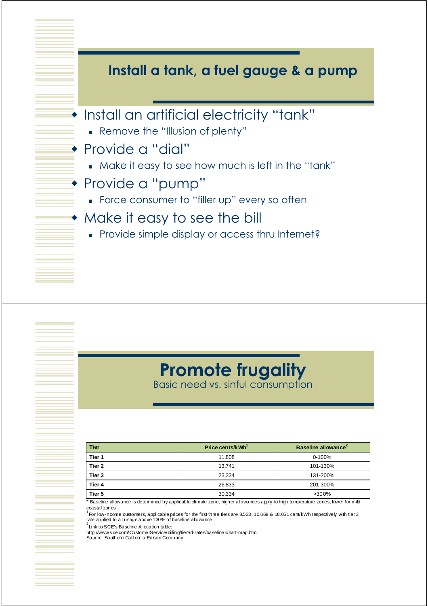

## Promote frugality

Basic need vs. sinful consumption

| <b>Tier</b> | Price cents/kWh <sup>1</sup> | Baseline allowance <sup>2</sup> |
|-------------|------------------------------|---------------------------------|
| Tier 1      | 11.808                       | $0 - 100%$                      |
| Tier 2      | 13.741                       | 101-130%                        |
| Tier 3      | 23.334                       | 131-200%                        |
| Tier 4      | 26.833                       | 201-300%                        |
| Tier 5      | 30.334                       | >300%                           |

\* Baseline allowance is determined by applicable climate zone; higher allowances apply to high temperature zones, lower for mild coastal zones

<sup>1</sup> For low-income customers, applicable prices for the first three tiers are 8.533, 10.668 & 18.051 cent/kWh respectively with tier 3<br>rate applied to all usage above 130% of baseline allowance.

 $2$  Link to SCE's Baseline Allocation table:

http://www.sce.com/CustomerService/billing/tiered-rates/baseline-chart-map.htm Source: Southern California Edison Company